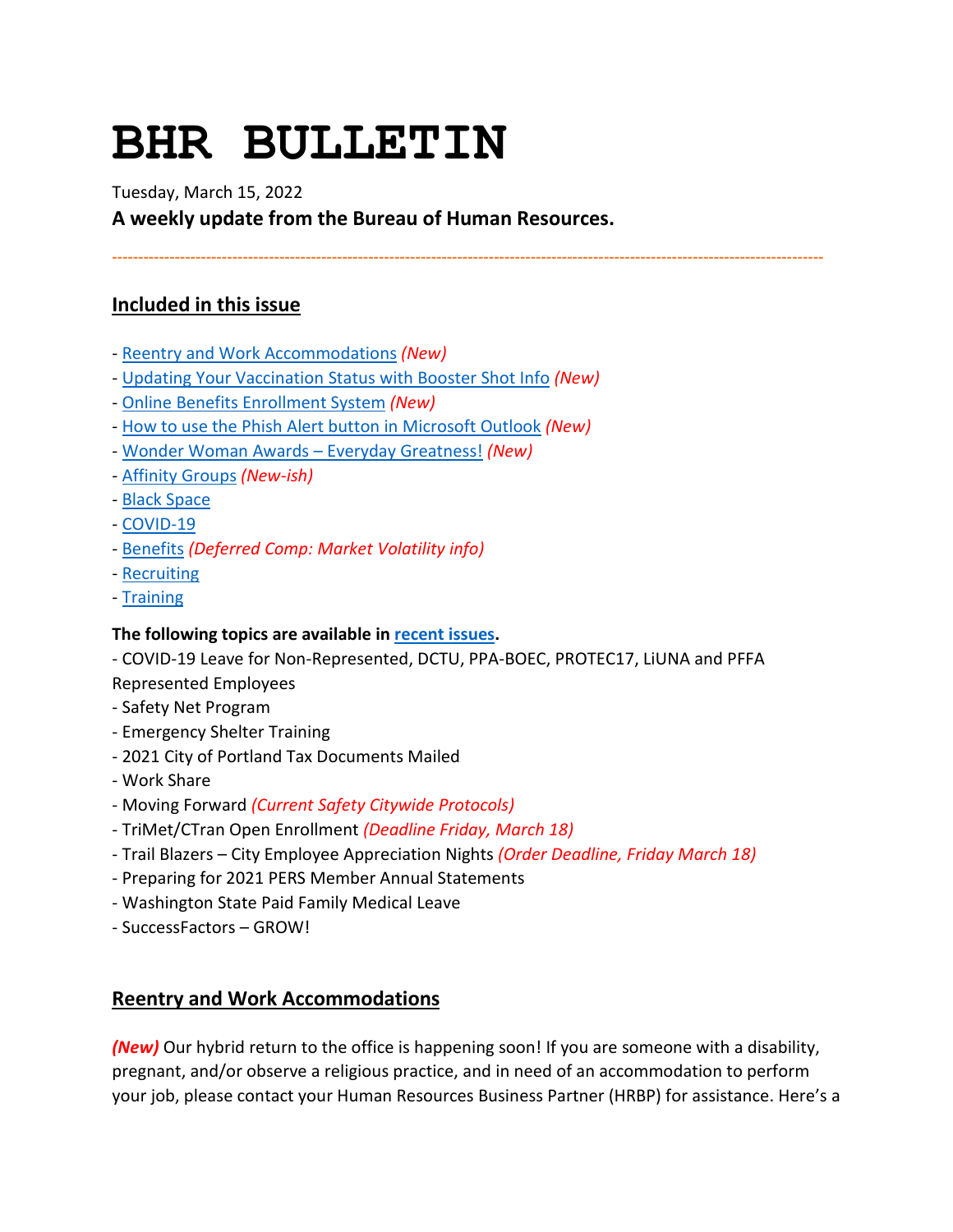# **BHR BULLETIN**

Tuesday, March 15, 2022

**A weekly update from the Bureau of Human Resources.**

**----------------------------------------------------------------------------------------------------------------------------------------**

## **Included in this issue**

- [Reentry and Work Accommodations](#page-0-0) *(New)*
- [Updating Your Vaccination Status with Booster Shot Info](#page-1-0) *(New)*
- [Online Benefits Enrollment System](#page-1-1) *(New)*
- [How to use the Phish Alert button in Microsoft Outlook](#page-1-2) *(New)*
- [Wonder Woman Awards Everyday Greatness!](#page-4-0) *(New)*
- [Affinity Groups](#page-5-0) *(New-ish)*
- [Black Space](#page-5-1)
- [COVID-19](#page-6-0)
- [Benefits](#page-8-0) *(Deferred Comp: Market Volatility info)*
- [Recruiting](#page-10-0)
- [Training](#page-10-1)

## **The following topics are available in [recent issues.](https://www.portlandoregon.gov/bhr/81102)**

- COVID-19 Leave for Non-Represented, DCTU, PPA-BOEC, PROTEC17, LiUNA and PFFA Represented Employees

- Safety Net Program
- Emergency Shelter Training
- 2021 City of Portland Tax Documents Mailed
- Work Share
- Moving Forward *(Current Safety Citywide Protocols)*
- TriMet/CTran Open Enrollment *(Deadline Friday, March 18)*
- Trail Blazers City Employee Appreciation Nights *(Order Deadline, Friday March 18)*
- Preparing for 2021 PERS Member Annual Statements
- Washington State Paid Family Medical Leave
- SuccessFactors GROW!

## <span id="page-0-0"></span>**Reentry and Work Accommodations**

*(New)* Our hybrid return to the office is happening soon! If you are someone with a disability, pregnant, and/or observe a religious practice, and in need of an accommodation to perform your job, please contact your Human Resources Business Partner (HRBP) for assistance. Here's a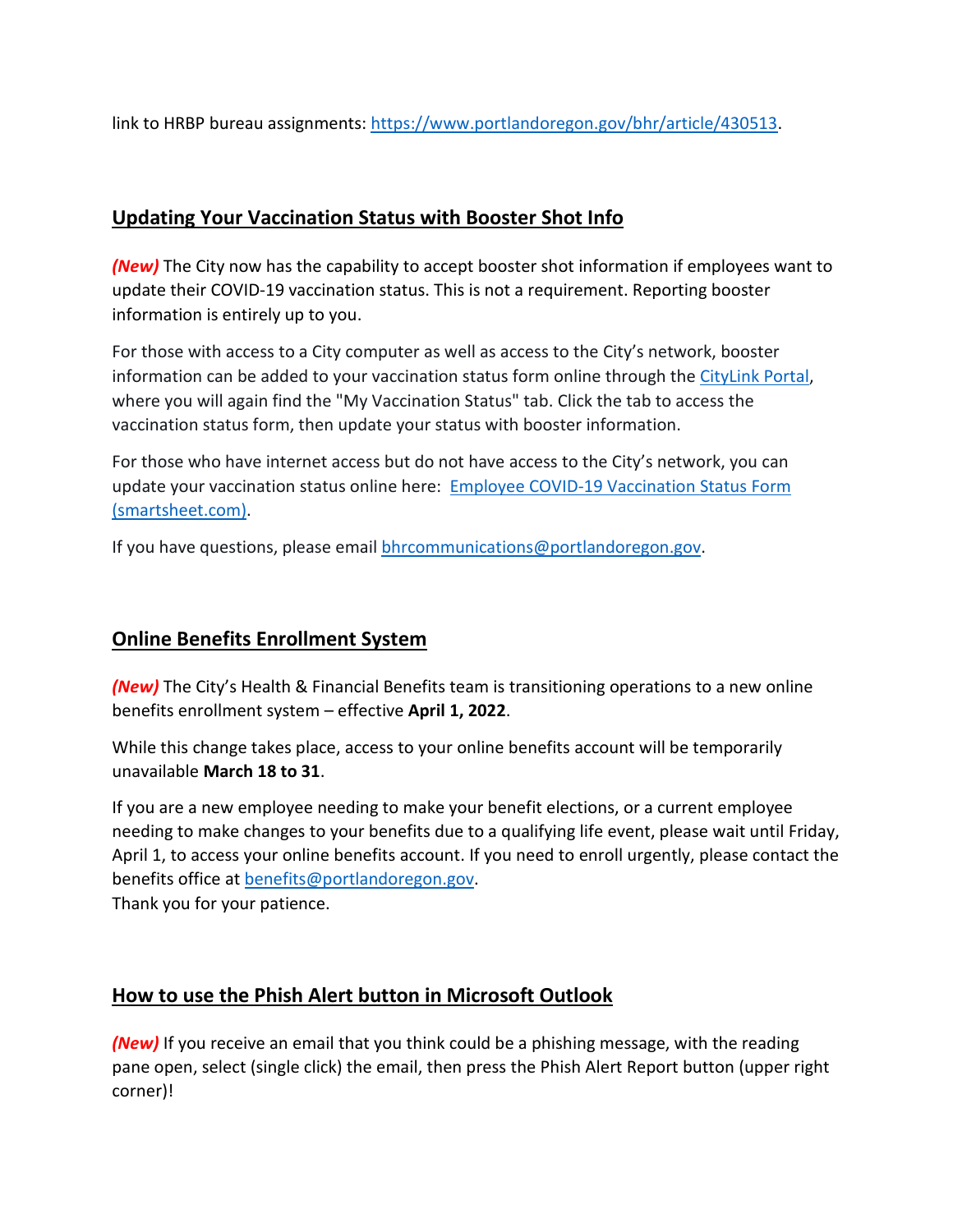link to HRBP bureau assignments: [https://www.portlandoregon.gov/bhr/article/430513.](https://www.portlandoregon.gov/bhr/article/430513)

## <span id="page-1-0"></span>**Updating Your Vaccination Status with Booster Shot Info**

*(New)* The City now has the capability to accept booster shot information if employees want to update their COVID-19 vaccination status. This is not a requirement. Reporting booster information is entirely up to you.

For those with access to a City computer as well as access to the City's network, booster information can be added to your vaccination status form online through th[e CityLink Portal,](https://www.portlandoregon.gov/employee/50542) where you will again find the "My Vaccination Status" tab. Click the tab to access the vaccination status form, then update your status with booster information.

For those who have internet access but do not have access to the City's network, you can update your vaccination status online here: [Employee COVID-19 Vaccination Status Form](https://app.smartsheet.com/b/form/1630264465a1445bae728de4615f96a7)  [\(smartsheet.com\).](https://app.smartsheet.com/b/form/1630264465a1445bae728de4615f96a7)

If you have questions, please email [bhrcommunications@portlandoregon.gov.](mailto:bhrcommunications@portlandoregon.gov)

## <span id="page-1-1"></span>**Online Benefits Enrollment System**

*(New)* The City's Health & Financial Benefits team is transitioning operations to a new online benefits enrollment system – effective **April 1, 2022**.

While this change takes place, access to your online benefits account will be temporarily unavailable **March 18 to 31**.

If you are a new employee needing to make your benefit elections, or a current employee needing to make changes to your benefits due to a qualifying life event, please wait until Friday, April 1, to access your online benefits account. If you need to enroll urgently, please contact the benefits office at [benefits@portlandoregon.gov.](mailto:benefits@portlandoregon.gov)

Thank you for your patience.

## <span id="page-1-2"></span>**How to use the Phish Alert button in Microsoft Outlook**

*(New)* If you receive an email that you think could be a phishing message, with the reading pane open, select (single click) the email, then press the Phish Alert Report button (upper right corner)!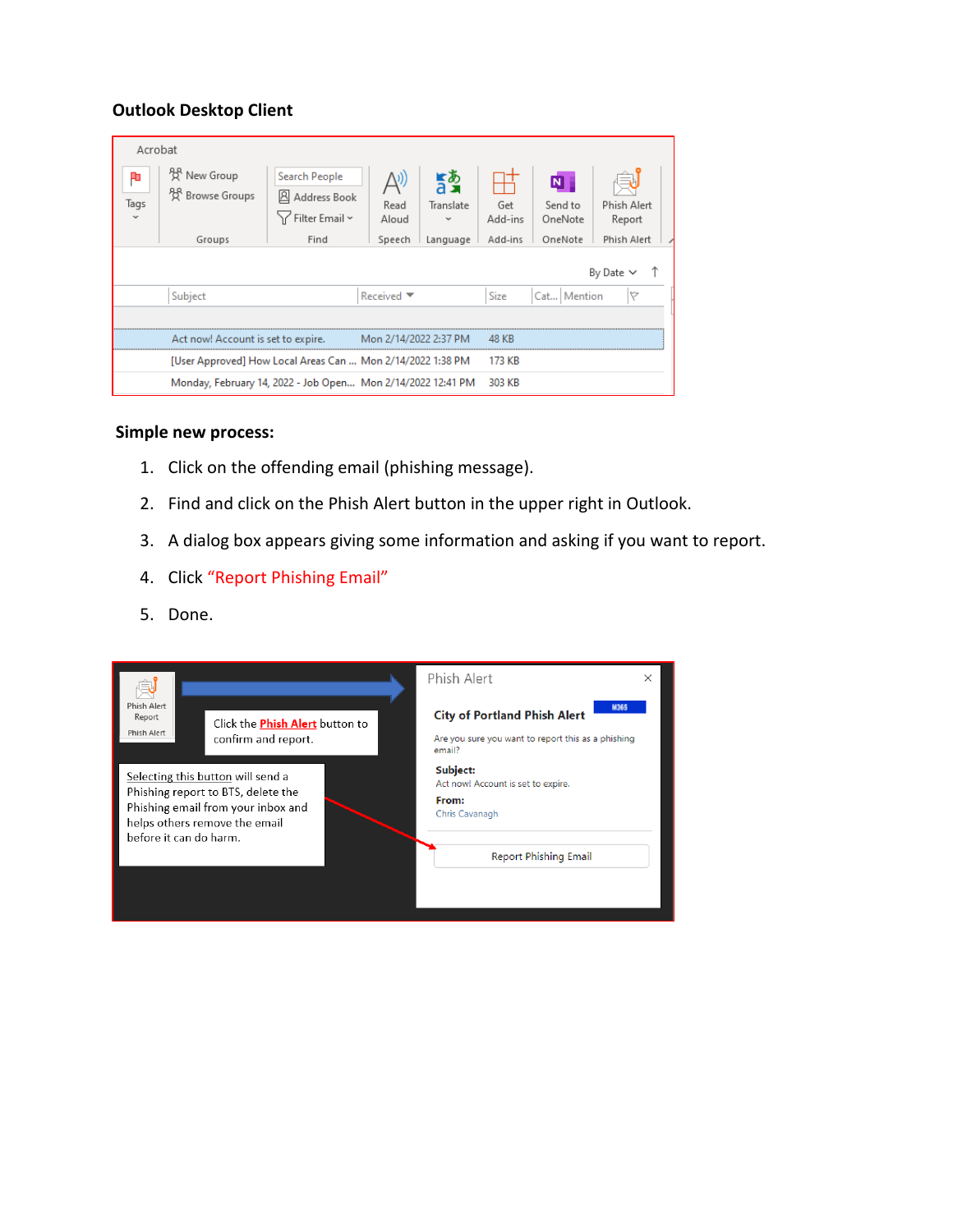#### **Outlook Desktop Client**

| Acrobat<br>¢<br>Tags | <sup>2</sup> C <sup>2</sup> New Group<br><sup>88</sup> Browse Groups | <b>Search People</b><br>Address Book<br>Y Filter Email ~    | $\bigtriangleup$ ))<br>Read<br>Aloud | <u>ኛቅ</u><br>Translate | Get<br>Add-ins | N<br>Send to<br>OneNote | Phish Alert<br>Report |  |  |
|----------------------|----------------------------------------------------------------------|-------------------------------------------------------------|--------------------------------------|------------------------|----------------|-------------------------|-----------------------|--|--|
|                      | Groups                                                               | Find                                                        | Speech                               | Language               | Add-ins        | OneNote                 | Phish Alert           |  |  |
| By Date $\vee$ 1     |                                                                      |                                                             |                                      |                        |                |                         |                       |  |  |
|                      | Subject                                                              |                                                             | Received T                           |                        | Size           | Cat   Mention           | v                     |  |  |
|                      |                                                                      |                                                             |                                      |                        |                |                         |                       |  |  |
|                      | Act now! Account is set to expire.                                   |                                                             |                                      | Mon 2/14/2022 2:37 PM  |                |                         |                       |  |  |
|                      | [User Approved] How Local Areas Can  Mon 2/14/2022 1:38 PM           |                                                             |                                      |                        | 173 KB         |                         |                       |  |  |
|                      |                                                                      | Monday, February 14, 2022 - Job Open Mon 2/14/2022 12:41 PM |                                      |                        | 303 KB         |                         |                       |  |  |

#### **Simple new process:**

- 1. Click on the offending email (phishing message).
- 2. Find and click on the Phish Alert button in the upper right in Outlook.
- 3. A dialog box appears giving some information and asking if you want to report.
- 4. Click "Report Phishing Email"
- 5. Done.

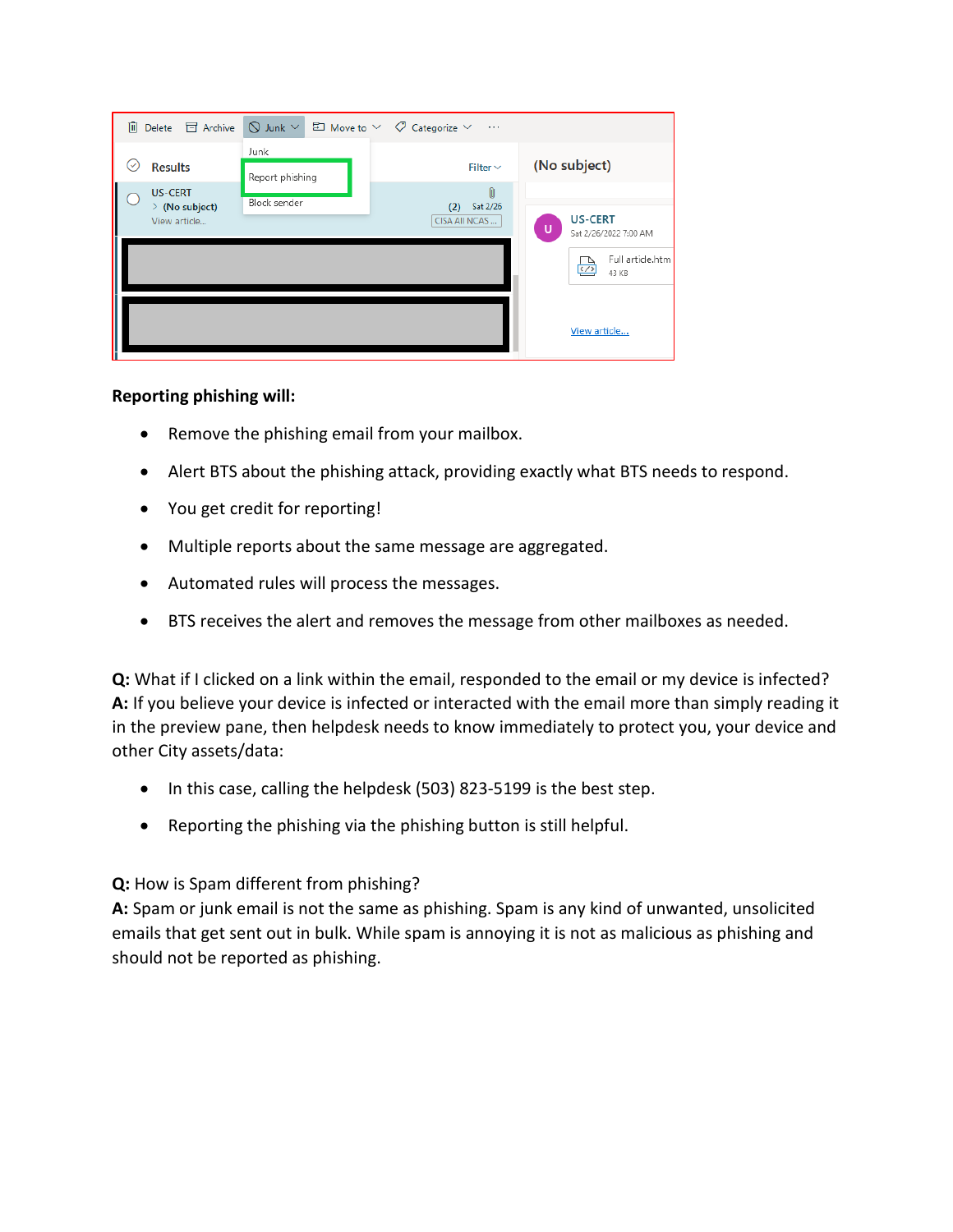|                                                                   | <u>I</u> Delete $\Box$ Archive $\Box$ Junk $\lor$ $\Box$ Move to $\lor$ $\Diamond$ Categorize $\lor$ | $\sim$ 100 $\pm$                      |   |                                                |
|-------------------------------------------------------------------|------------------------------------------------------------------------------------------------------|---------------------------------------|---|------------------------------------------------|
| <b>Results</b><br>V                                               | Junk<br>Report phishing                                                                              | Filter $\vee$                         |   | (No subject)                                   |
| I<br><b>US-CERT</b><br>$\angle$ (No subject)<br>l<br>View article | Block sender                                                                                         | M<br>Sat 2/26<br>(2)<br>CISA AII NCAS | υ | <b>US-CERT</b><br>Sat 2/26/2022 7:00 AM        |
|                                                                   |                                                                                                      |                                       |   | Full article.htm<br>$\langle \rangle$<br>43 KB |
|                                                                   |                                                                                                      |                                       |   | View article                                   |

**Reporting phishing will:**

- Remove the phishing email from your mailbox.
- Alert BTS about the phishing attack, providing exactly what BTS needs to respond.
- You get credit for reporting!
- Multiple reports about the same message are aggregated.
- Automated rules will process the messages.
- BTS receives the alert and removes the message from other mailboxes as needed.

**Q:** What if I clicked on a link within the email, responded to the email or my device is infected? **A:** If you believe your device is infected or interacted with the email more than simply reading it in the preview pane, then helpdesk needs to know immediately to protect you, your device and other City assets/data:

- In this case, calling the helpdesk (503) 823-5199 is the best step.
- Reporting the phishing via the phishing button is still helpful.

#### **Q:** How is Spam different from phishing?

**A:** Spam or junk email is not the same as phishing. Spam is any kind of unwanted, unsolicited emails that get sent out in bulk. While spam is annoying it is not as malicious as phishing and should not be reported as phishing.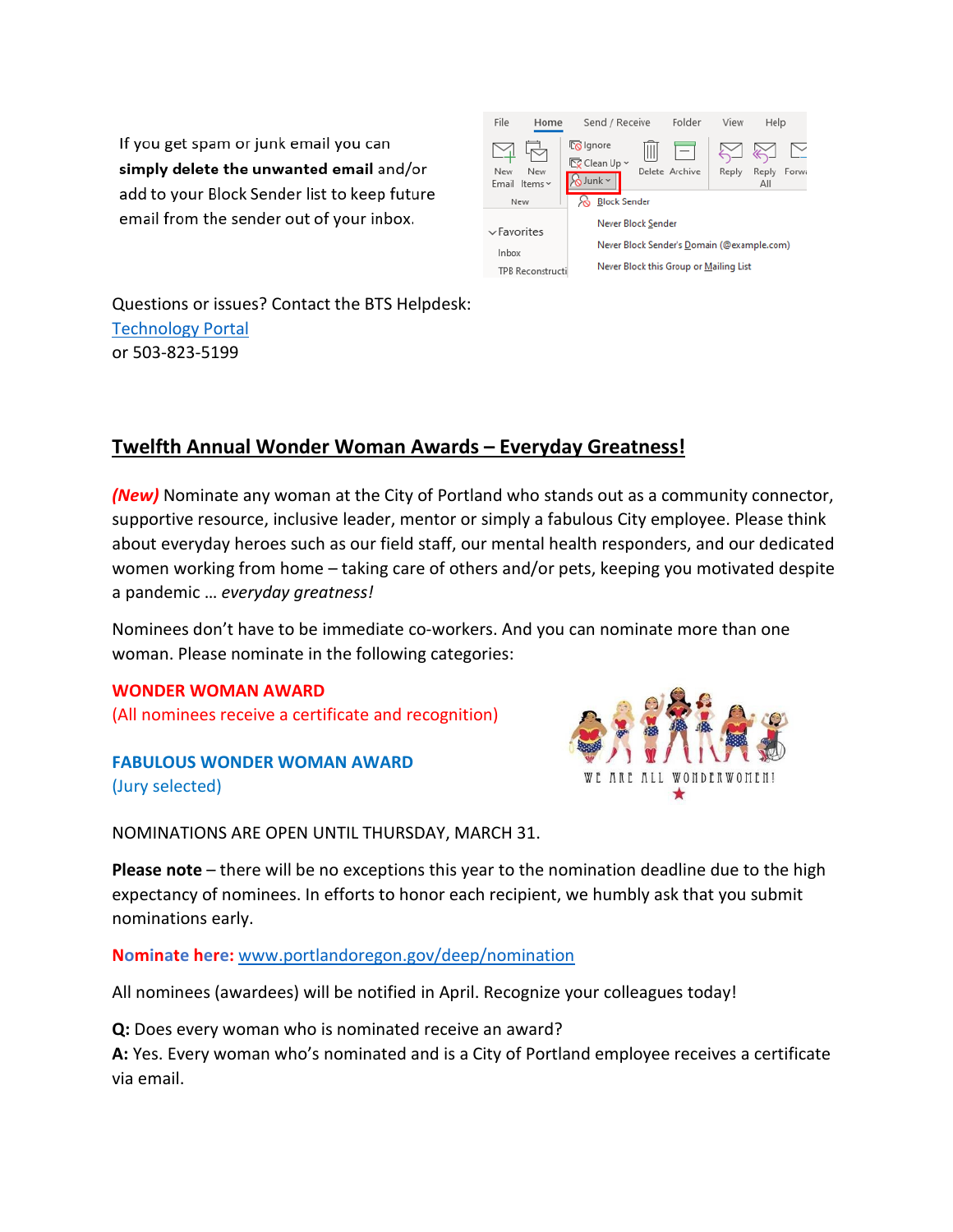If you get spam or junk email you can simply delete the unwanted email and/or add to your Block Sender list to keep future email from the sender out of your inbox.



Questions or issues? Contact the BTS Helpdesk: [Technology Portal](https://help.portlandoregon.gov/) or 503-823-5199

## <span id="page-4-0"></span>**Twelfth Annual Wonder Woman Awards – Everyday Greatness!**

*(New)* Nominate any woman at the City of Portland who stands out as a community connector, supportive resource, inclusive leader, mentor or simply a fabulous City employee. Please think about everyday heroes such as our field staff, our mental health responders, and our dedicated women working from home – taking care of others and/or pets, keeping you motivated despite a pandemic … *everyday greatness!*

Nominees don't have to be immediate co-workers. And you can nominate more than one woman. Please nominate in the following categories:

#### **WONDER WOMAN AWARD**

(All nominees receive a certificate and recognition)

**FABULOUS WONDER WOMAN AWARD** (Jury selected)



NOMINATIONS ARE OPEN UNTIL THURSDAY, MARCH 31.

**Please note** – there will be no exceptions this year to the nomination deadline due to the high expectancy of nominees. In efforts to honor each recipient, we humbly ask that you submit nominations early.

**Nominate here:** [www.portlandoregon.gov/deep/nomination](http://www.portlandoregon.gov/deep/nomination)

All nominees (awardees) will be notified in April. Recognize your colleagues today!

**Q:** Does every woman who is nominated receive an award?

**A:** Yes. Every woman who's nominated and is a City of Portland employee receives a certificate via email.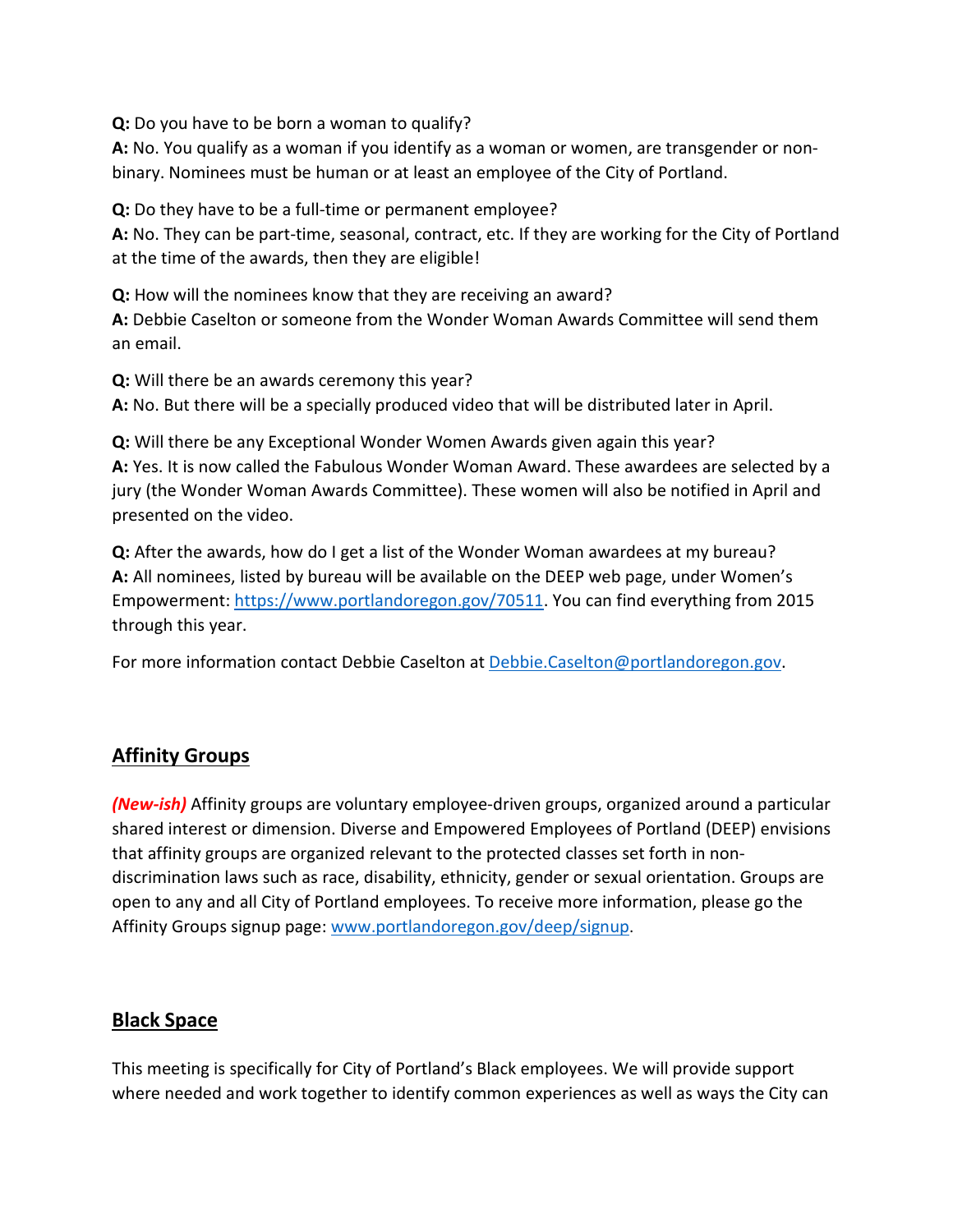**Q:** Do you have to be born a woman to qualify?

**A:** No. You qualify as a woman if you identify as a woman or women, are transgender or nonbinary. Nominees must be human or at least an employee of the City of Portland.

**Q:** Do they have to be a full-time or permanent employee?

**A:** No. They can be part-time, seasonal, contract, etc. If they are working for the City of Portland at the time of the awards, then they are eligible!

**Q:** How will the nominees know that they are receiving an award?

**A:** Debbie Caselton or someone from the Wonder Woman Awards Committee will send them an email.

**Q:** Will there be an awards ceremony this year?

**A:** No. But there will be a specially produced video that will be distributed later in April.

**Q:** Will there be any Exceptional Wonder Women Awards given again this year? **A:** Yes. It is now called the Fabulous Wonder Woman Award. These awardees are selected by a jury (the Wonder Woman Awards Committee). These women will also be notified in April and presented on the video.

**Q:** After the awards, how do I get a list of the Wonder Woman awardees at my bureau? **A:** All nominees, listed by bureau will be available on the DEEP web page, under Women's Empowerment[: https://www.portlandoregon.gov/70511.](https://www.portlandoregon.gov/70511) You can find everything from 2015 through this year.

For more information contact Debbie Caselton at [Debbie.Caselton@portlandoregon.gov.](mailto:Debbie.Caselton@portlandoregon.gov)

## <span id="page-5-0"></span>**Affinity Groups**

*(New-ish)* Affinity groups are voluntary employee-driven groups, organized around a particular shared interest or dimension. Diverse and Empowered Employees of Portland (DEEP) envisions that affinity groups are organized relevant to the protected classes set forth in nondiscrimination laws such as race, disability, ethnicity, gender or sexual orientation. Groups are open to any and all City of Portland employees. To receive more information, please go the Affinity Groups signup page: [www.portlandoregon.gov/deep/signup.](http://www.portlandoregon.gov/deep/signup)

## <span id="page-5-1"></span>**Black Space**

This meeting is specifically for City of Portland's Black employees. We will provide support where needed and work together to identify common experiences as well as ways the City can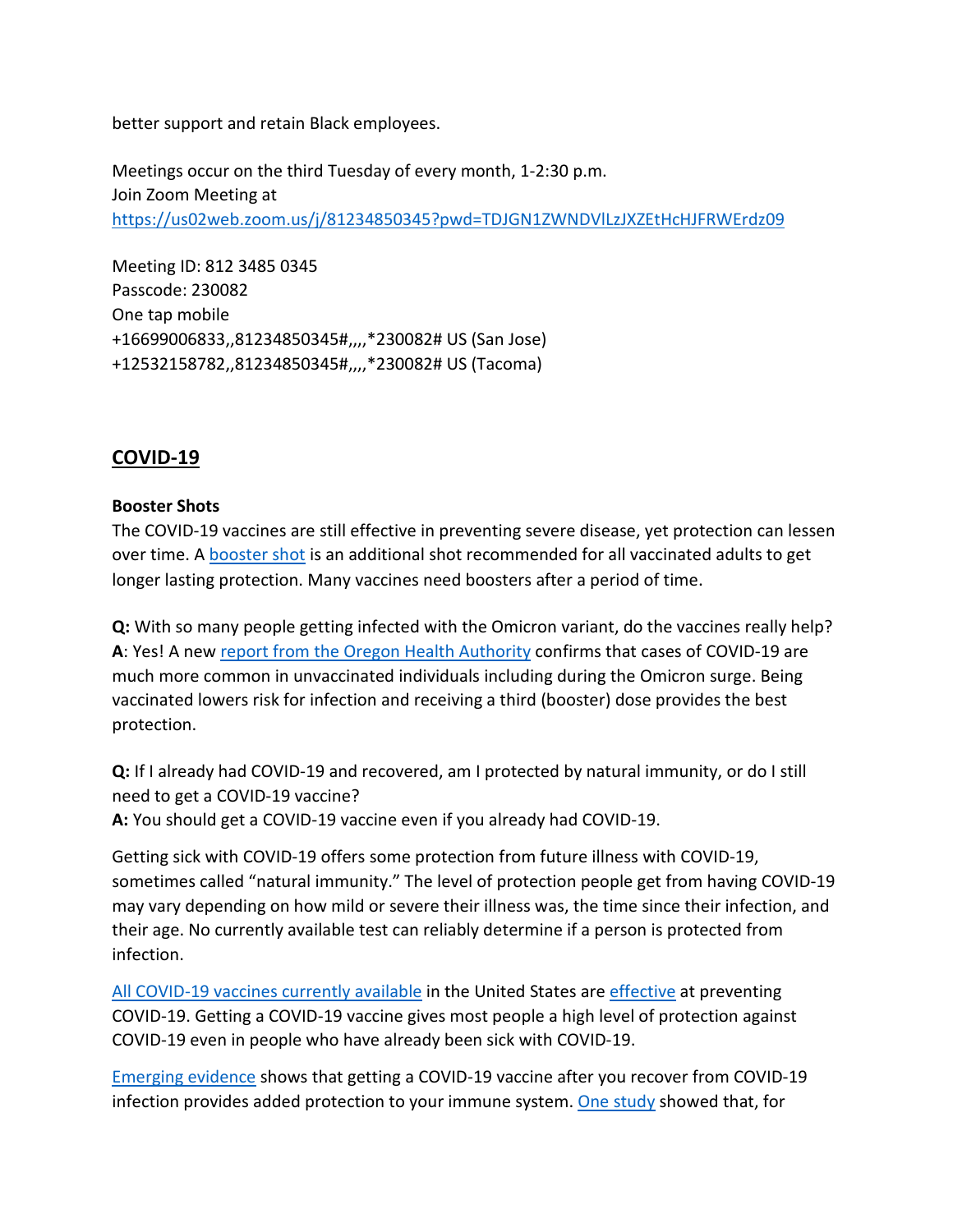better support and retain Black employees.

Meetings occur on the third Tuesday of every month, 1-2:30 p.m. Join Zoom Meeting at <https://us02web.zoom.us/j/81234850345?pwd=TDJGN1ZWNDVlLzJXZEtHcHJFRWErdz09>

Meeting ID: 812 3485 0345 Passcode: 230082 One tap mobile +16699006833,,81234850345#,,,,\*230082# US (San Jose) +12532158782,,81234850345#,,,,\*230082# US (Tacoma)

## <span id="page-6-0"></span>**COVID-19**

#### **Booster Shots**

The COVID-19 vaccines are still effective in preventing severe disease, yet protection can lessen over time. A **booster shot** is an additional shot recommended for all vaccinated adults to get longer lasting protection. Many vaccines need boosters after a period of time.

**Q:** With so many people getting infected with the Omicron variant, do the vaccines really help? **A**: Yes! A new [report from the Oregon Health Authority](https://covidblog.oregon.gov/booster-shots-highlighted-in-new-breakthrough-case-report/?utm_medium=email&utm_source=govdelivery) confirms that cases of COVID-19 are much more common in unvaccinated individuals including during the Omicron surge. Being vaccinated lowers risk for infection and receiving a third (booster) dose provides the best protection.

**Q:** If I already had COVID-19 and recovered, am I protected by natural immunity, or do I still need to get a COVID-19 vaccine?

**A:** You should get a COVID-19 vaccine even if you already had COVID-19.

Getting sick with COVID-19 offers some protection from future illness with COVID-19, sometimes called "natural immunity." The level of protection people get from having COVID-19 may vary depending on how mild or severe their illness was, the time since their infection, and their age. No currently available test can reliably determine if a person is protected from infection.

[All COVID-19 vaccines currently available](https://www.cdc.gov/coronavirus/2019-ncov/vaccines/different-vaccines.html) in the United States ar[e effective](https://www.cdc.gov/coronavirus/2019-ncov/vaccines/effectiveness/index.html) at preventing COVID-19. Getting a COVID-19 vaccine gives most people a high level of protection against COVID-19 even in people who have already been sick with COVID-19.

[Emerging evidence](https://www.cdc.gov/coronavirus/2019-ncov/science/science-briefs/vaccine-induced-immunity.html#anchor_1635540493225) shows that getting a COVID-19 vaccine after you recover from COVID-19 infection provides added protection to your immune system. [One study](https://www.cdc.gov/mmwr/volumes/70/wr/mm7032e1.htm?s_cid=mm7032e1_e&ACSTrackingID=USCDC_921-DM63289&ACSTrackingLabel=MMWR%20Early%20Release%20-%20Vol.%2070%2C%20August%206%2C%202021&deliveryName=USCDC_921-DM63289) showed that, for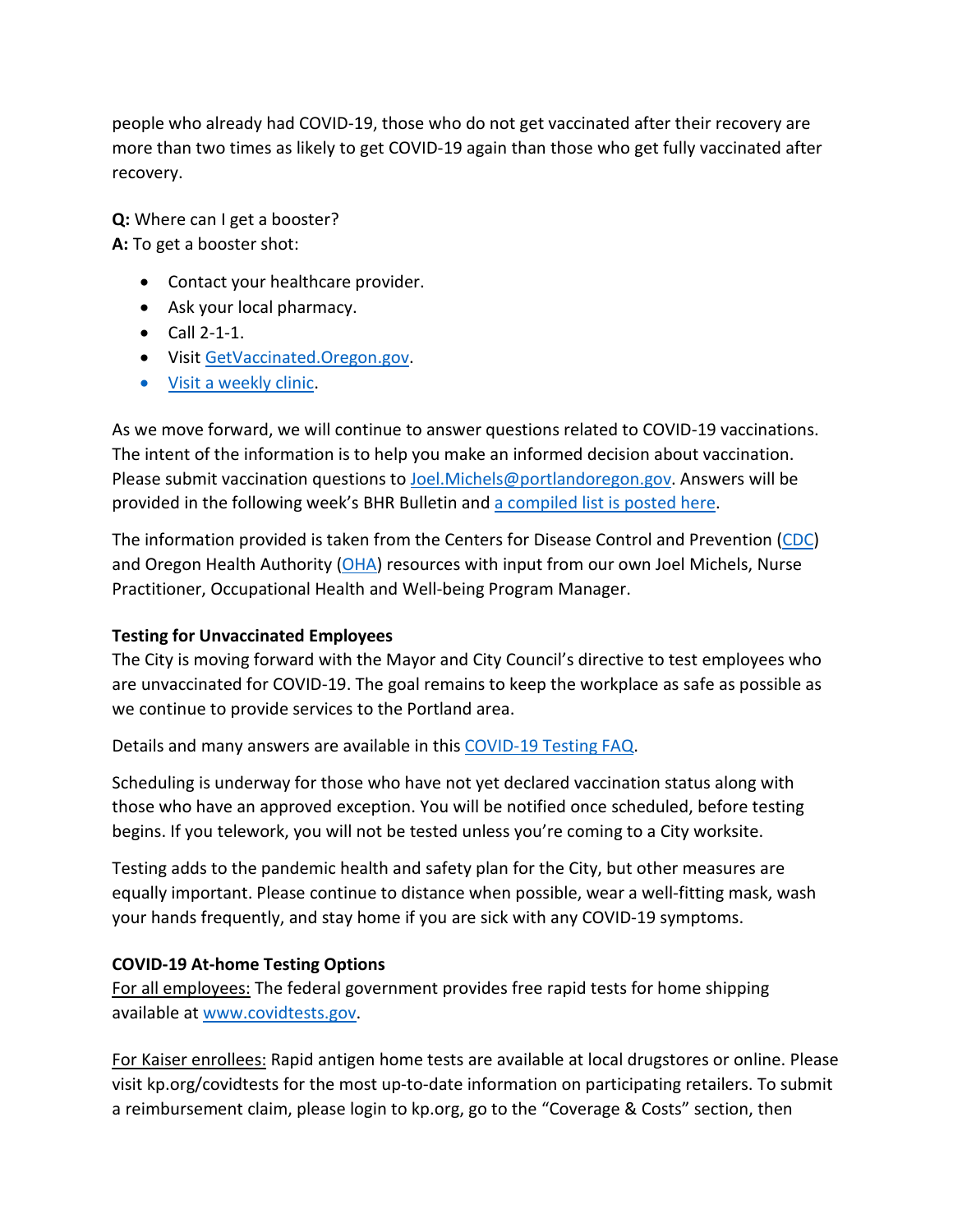people who already had COVID-19, those who do not get vaccinated after their recovery are more than two times as likely to get COVID-19 again than those who get fully vaccinated after recovery.

**Q:** Where can I get a booster? **A:** To get a booster shot:

- Contact your healthcare provider.
- Ask your local pharmacy.
- Call 2-1-1.
- Visi[t GetVaccinated.Oregon.gov.](https://getvaccinated.oregon.gov/#/)
- [Visit a weekly clinic.](https://www.multco.us/novel-coronavirus-covid-19/upcoming-covid-19-vaccination-clinics)

As we move forward, we will continue to answer questions related to COVID-19 vaccinations. The intent of the information is to help you make an informed decision about vaccination. Please submit vaccination questions to [Joel.Michels@portlandoregon.gov.](mailto:Joel.Michels@portlandoregon.gov) Answers will be provided in the following week's BHR Bulletin an[d a compiled list is posted here.](https://www.portlandoregon.gov/bhr/article/797240)

The information provided is taken from the Centers for Disease Control and Prevention [\(CDC\)](https://www.cdc.gov/coronavirus/2019-ncov/vaccines/index.html) and Oregon Health Authority [\(OHA\)](https://covidvaccine.oregon.gov/) resources with input from our own Joel Michels, Nurse Practitioner, Occupational Health and Well-being Program Manager.

## **Testing for Unvaccinated Employees**

The City is moving forward with the Mayor and City Council's directive to test employees who are unvaccinated for COVID-19. The goal remains to keep the workplace as safe as possible as we continue to provide services to the Portland area.

Details and many answers are available in this [COVID-19 Testing FAQ.](https://www.portland.gov/bhr/covid-testing)

Scheduling is underway for those who have not yet declared vaccination status along with those who have an approved exception. You will be notified once scheduled, before testing begins. If you telework, you will not be tested unless you're coming to a City worksite.

Testing adds to the pandemic health and safety plan for the City, but other measures are equally important. Please continue to distance when possible, wear a well-fitting mask, wash your hands frequently, and stay home if you are sick with any COVID-19 symptoms.

## **COVID-19 At-home Testing Options**

For all employees: The federal government provides free rapid tests for home shipping available at [www.covidtests.gov.](http://www.covidtests.gov/)

For Kaiser enrollees: Rapid antigen home tests are available at local drugstores or online. Please visit kp.org/covidtests for the most up-to-date information on participating retailers. To submit a reimbursement claim, please login to kp.org, go to the "Coverage & Costs" section, then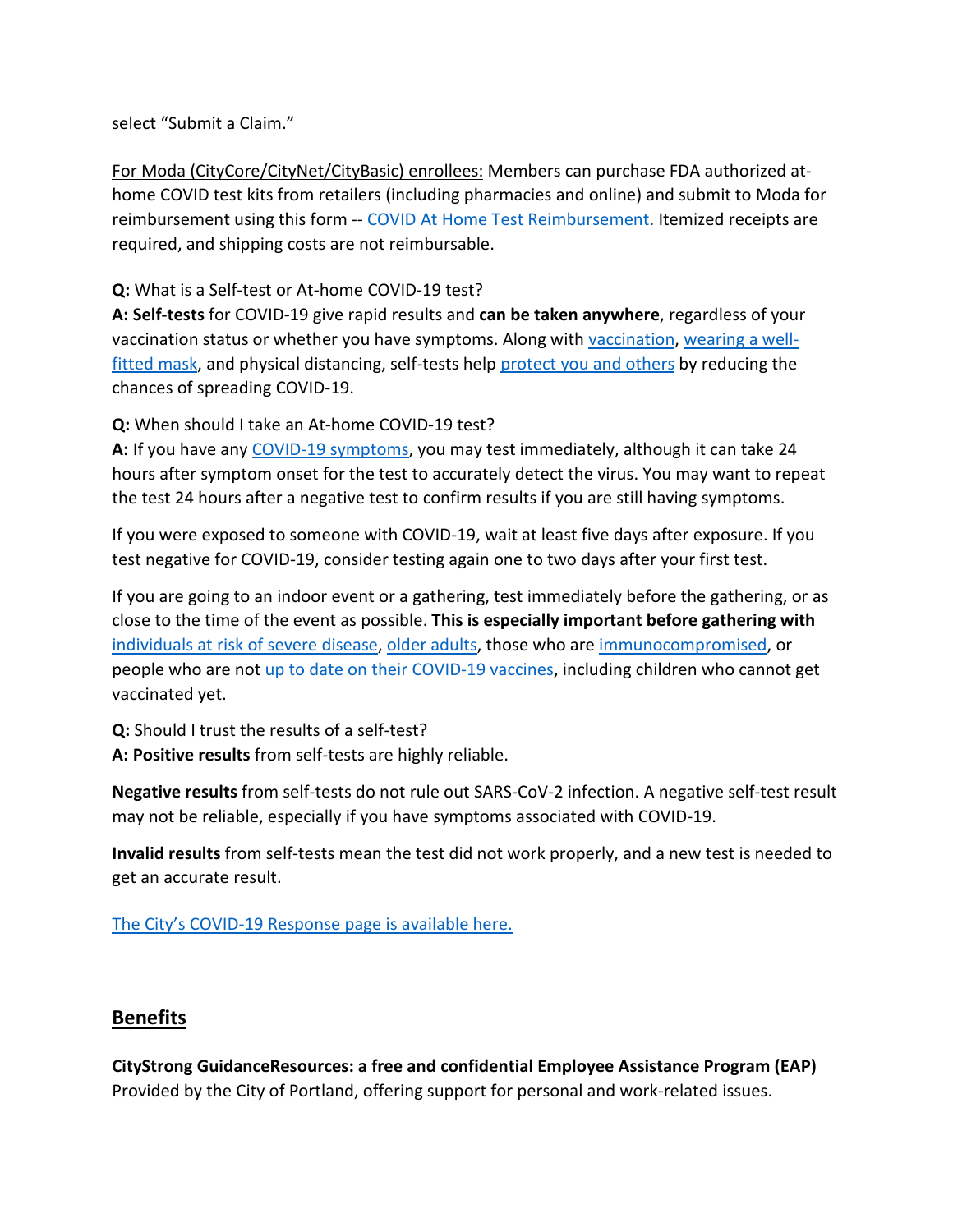select "Submit a Claim."

For Moda (CityCore/CityNet/CityBasic) enrollees: Members can purchase FDA authorized athome COVID test kits from retailers (including pharmacies and online) and submit to Moda for reimbursement using this form -- [COVID At Home Test Reimbursement.](https://www.modahealth.com/-/media/modahealth/site/shared/forms/ModaHealth-OTC-COVID-19-AtHomeTest-Medical-MemberReimbursementForm.pdf) Itemized receipts are required, and shipping costs are not reimbursable.

**Q:** What is a Self-test or At-home COVID-19 test?

**A: Self-tests** for COVID-19 give rapid results and **can be taken anywhere**, regardless of your vaccination status or whether you have symptoms. Along with [vaccination,](https://www.cdc.gov/coronavirus/2019-ncov/vaccines/your-vaccination.html) [wearing a well](https://www.cdc.gov/coronavirus/2019-ncov/prevent-getting-sick/masks.html)[fitted mask,](https://www.cdc.gov/coronavirus/2019-ncov/prevent-getting-sick/masks.html) and physical distancing, self-tests help [protect you and others](https://www.cdc.gov/coronavirus/2019-ncov/prevent-getting-sick/prevention.html) by reducing the chances of spreading COVID-19.

**Q:** When should I take an At-home COVID-19 test?

**A:** If you have any [COVID-19 symptoms,](https://www.cdc.gov/coronavirus/2019-ncov/symptoms-testing/symptoms.html) you may test immediately, although it can take 24 hours after symptom onset for the test to accurately detect the virus. You may want to repeat the test 24 hours after a negative test to confirm results if you are still having symptoms.

If you were exposed to someone with COVID-19, wait at least five days after exposure. If you test negative for COVID-19, consider testing again one to two days after your first test.

If you are going to an indoor event or a gathering, test immediately before the gathering, or as close to the time of the event as possible. **This is especially important before gathering with** [individuals at risk of severe disease,](https://www.cdc.gov/coronavirus/2019-ncov/need-extra-precautions/people-with-medical-conditions.html) [older adults,](https://www.cdc.gov/aging/covid19/covid19-older-adults.html) those who are [immunocompromised,](https://www.cdc.gov/coronavirus/2019-ncov/need-extra-precautions/people-with-medical-conditions.html#MedicalConditionsAdults) or people who are not [up to date on their COVID-19 vaccines,](https://www.cdc.gov/coronavirus/2019-ncov/vaccines/stay-up-to-date.html) including children who cannot get vaccinated yet.

**Q:** Should I trust the results of a self-test?

**A: Positive results** from self-tests are highly reliable.

**Negative results** from self-tests do not rule out SARS-CoV-2 infection. A negative self-test result may not be reliable, especially if you have symptoms associated with COVID-19.

**Invalid results** from self-tests mean the test did not work properly, and a new test is needed to get an accurate result.

[The City's COVID-19 Response page is available here.](https://www.portlandoregon.gov/bhr/index.cfm?&c=81055)

#### <span id="page-8-0"></span>**Benefits**

**CityStrong GuidanceResources: a free and confidential Employee Assistance Program (EAP)**  Provided by the City of Portland, offering support for personal and work-related issues.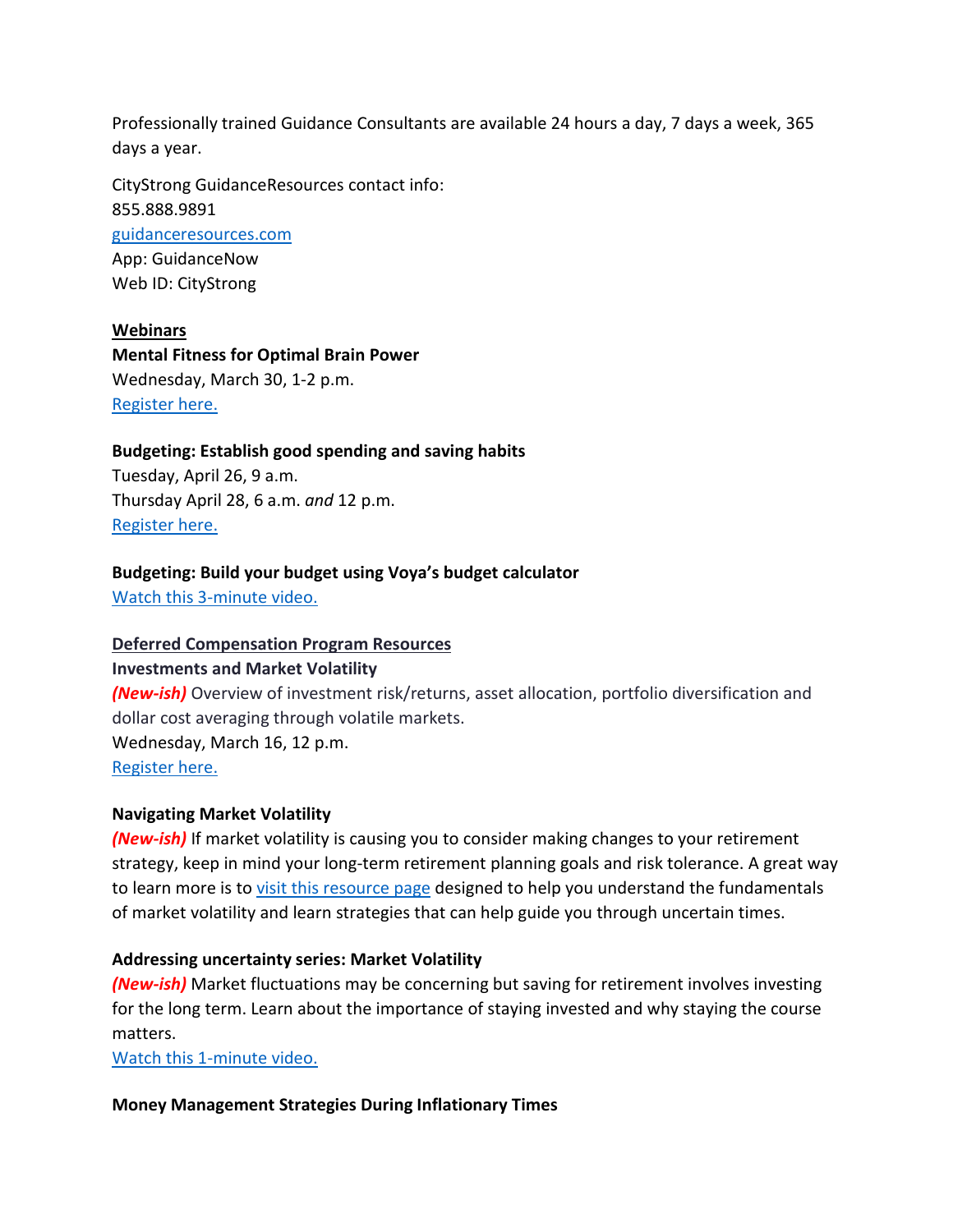Professionally trained Guidance Consultants are available 24 hours a day, 7 days a week, 365 days a year.

CityStrong GuidanceResources contact info: 855.888.9891 [guidanceresources.com](https://www.guidanceresources.com/groWeb/login/login.xhtml) App: GuidanceNow Web ID: CityStrong

**Webinars Mental Fitness for Optimal Brain Power**  Wednesday, March 30, 1-2 p.m. [Register here.](https://us06web.zoom.us/webinar/register/WN_BYyBBbVuQWufZ2Mx0Pw_ZA)

## **Budgeting: Establish good spending and saving habits**

Tuesday, April 26, 9 a.m. Thursday April 28, 6 a.m. *and* 12 p.m. [Register here.](https://voyafa.zoom.us/webinar/register/WN_jalwtC9vQGa3Bf00BMP-Pw)

#### **Budgeting: Build your budget using Voya's budget calculator**

[Watch this 3-minute video.](https://www.voya.com/page/on-demand/budget-calculator)

#### **Deferred Compensation Program Resources**

#### **Investments and Market Volatility**

*(New-ish)* Overview of investment risk/returns, asset allocation, portfolio diversification and dollar cost averaging through volatile markets. Wednesday, March 16, 12 p.m.

[Register here.](https://voyafa.zoom.us/webinar/register/WN_E8-0mcnSRam-T-mo23mizA)

#### **Navigating Market Volatility**

*(New-ish)* If market volatility is causing you to consider making changes to your retirement strategy, keep in mind your long-term retirement planning goals and risk tolerance. A great way to learn more is t[o visit this resource page](https://www.voya.com/page/navigating-market-volatility) designed to help you understand the fundamentals of market volatility and learn strategies that can help guide you through uncertain times.

#### **Addressing uncertainty series: Market Volatility**

*(New-ish)* Market fluctuations may be concerning but saving for retirement involves investing for the long term. Learn about the importance of staying invested and why staying the course matters.

[Watch this 1-minute video.](https://www.voya.com/page/on-demand/addressing-uncertainty-series-market-volatility)

#### **Money Management Strategies During Inflationary Times**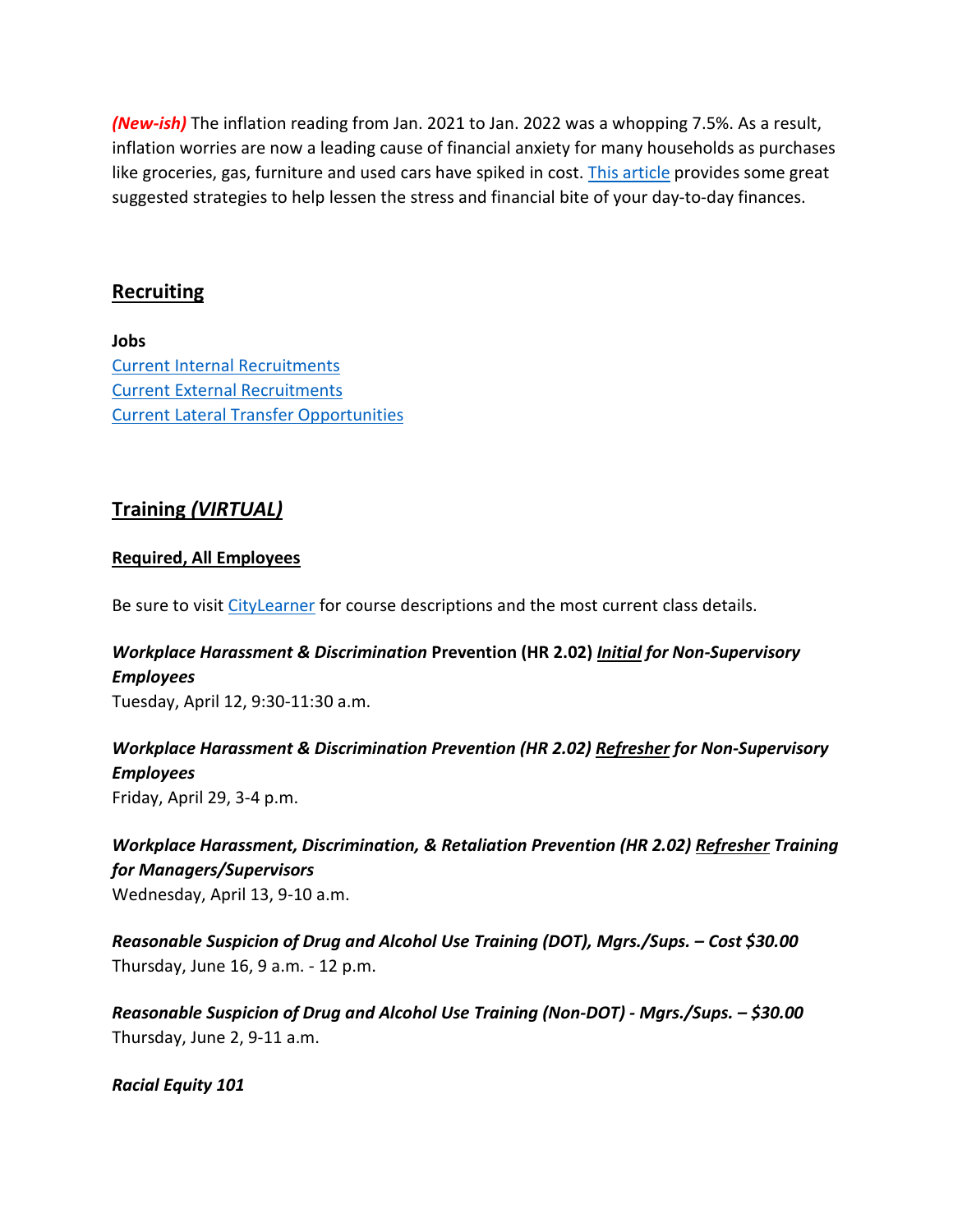*(New-ish)* The inflation reading from Jan. 2021 to Jan. 2022 was a whopping 7.5%. As a result, inflation worries are now a leading cause of financial anxiety for many households as purchases like groceries, gas, furniture and used cars have spiked in cost. [This article](https://blog.voya.com/financial-decisions/money-management-strategies-during-inflationary-times-nc) provides some great suggested strategies to help lessen the stress and financial bite of your day-to-day finances.

#### <span id="page-10-0"></span>**Recruiting**

**Jobs** [Current Internal Recruitments](https://www.governmentjobs.com/careers/portlandor/promotionaljobs) [Current External Recruitments](https://www.governmentjobs.com/careers/portlandor?) [Current Lateral Transfer Opportunities](https://www.governmentjobs.com/careers/portlandor/transferjobs)

## <span id="page-10-1"></span>**Training** *(VIRTUAL)*

#### **Required, All Employees**

Be sure to visit [CityLearner](https://www.portlandoregon.gov/sf) for course descriptions and the most current class details.

## *Workplace Harassment & Discrimination* **Prevention (HR 2.02)** *Initial for Non-Supervisory Employees*

Tuesday, April 12, 9:30-11:30 a.m.

## *Workplace Harassment & Discrimination Prevention (HR 2.02) Refresher for Non-Supervisory Employees*

Friday, April 29, 3-4 p.m.

*Workplace Harassment, Discrimination, & Retaliation Prevention (HR 2.02) Refresher Training for Managers/Supervisors*  Wednesday, April 13, 9-10 a.m.

*Reasonable Suspicion of Drug and Alcohol Use Training (DOT), Mgrs./Sups. – Cost \$30.00* Thursday, June 16, 9 a.m. - 12 p.m.

*Reasonable Suspicion of Drug and Alcohol Use Training (Non-DOT) - Mgrs./Sups. – \$30.00* Thursday, June 2, 9-11 a.m.

*Racial Equity 101*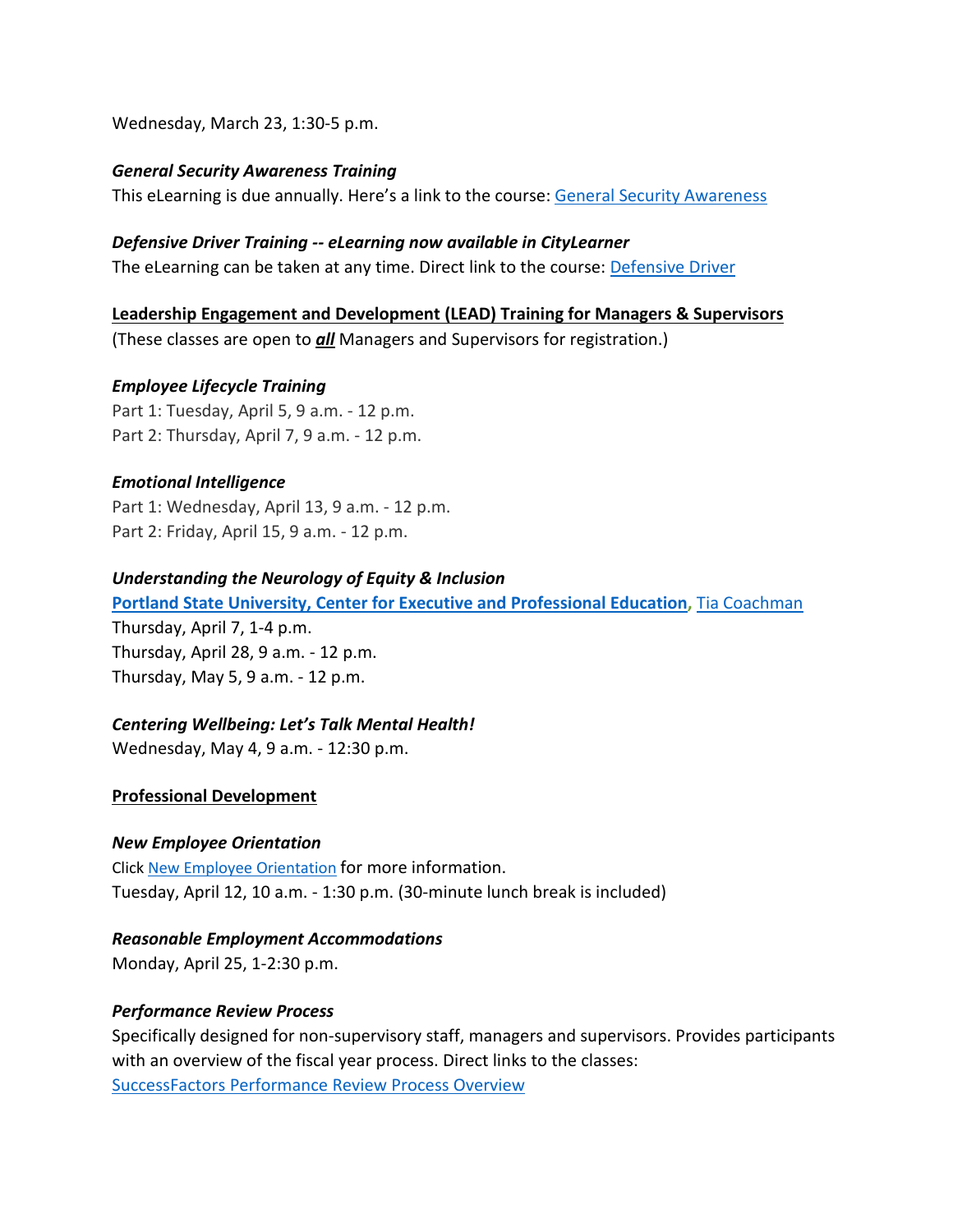Wednesday, March 23, 1:30-5 p.m.

#### *General Security Awareness Training*

This eLearning is due annually. Here's a link to the course: General Security Awareness

#### *Defensive Driver Training -- eLearning now available in CityLearner*

The eLearning can be taken at any time. Direct link to the course: [Defensive Driver](https://cityofport.plateau.com/learning/user/common/viewItemDetails.do?OWASP_CSRFTOKEN=5M1O-5ANN-0TLU-3QOL-OISM-MYFY-1V3A-L7M9&componentID=LMS61011177&componentTypeID=ELRN&fromSF=Y&revisionDate=1607576040000&menuGroup=Learning&menuItem=Cur&fromDeepLink=true&hideItemDetailsBackLink=true)

#### **Leadership Engagement and Development (LEAD) Training for Managers & Supervisors**

(These classes are open to *all* Managers and Supervisors for registration.)

#### *Employee Lifecycle Training*

Part 1: Tuesday, April 5, 9 a.m. - 12 p.m. Part 2: Thursday, April 7, 9 a.m. - 12 p.m.

#### *Emotional Intelligence*

Part 1: Wednesday, April 13, 9 a.m. - 12 p.m. Part 2: Friday, April 15, 9 a.m. - 12 p.m.

#### *Understanding the Neurology of Equity & Inclusion*

**[Portland State University, Center for Executive and Professional Education,](https://www.pdx.edu/professional-education/)** [Tia Coachman](https://www.pdx.edu/professional-education/profile/tia-coachman)

Thursday, April 7, 1-4 p.m. Thursday, April 28, 9 a.m. - 12 p.m. Thursday, May 5, 9 a.m. - 12 p.m.

#### *Centering Wellbeing: Let's Talk Mental Health!*

Wednesday, May 4, 9 a.m. - 12:30 p.m.

#### **Professional Development**

#### *New Employee Orientation*

Click [New Employee Orientation](https://www.portlandoregon.gov/bhr/77721) for more information. Tuesday, April 12, 10 a.m. - 1:30 p.m. (30-minute lunch break is included)

#### *Reasonable Employment Accommodations*

Monday, April 25, 1-2:30 p.m.

#### *Performance Review Process*

Specifically designed for non-supervisory staff, managers and supervisors. Provides participants with an overview of the fiscal year process. Direct links to the classes: [SuccessFactors Performance Review Process Overview](https://cityofport.plateau.com/learning/user/common/viewItemDetails.do?OWASP_CSRFTOKEN=DU90-LX7U-MJFA-R3RR-74UK-2I97-WO9L-P1RW&componentID=29037&componentTypeID=ELRN&fromSF=Y&revisionDate=1621295700000&menuGroup=Learning&menuItem=Cur&fromDeepLink=true&hideItemDetailsBackLink=true)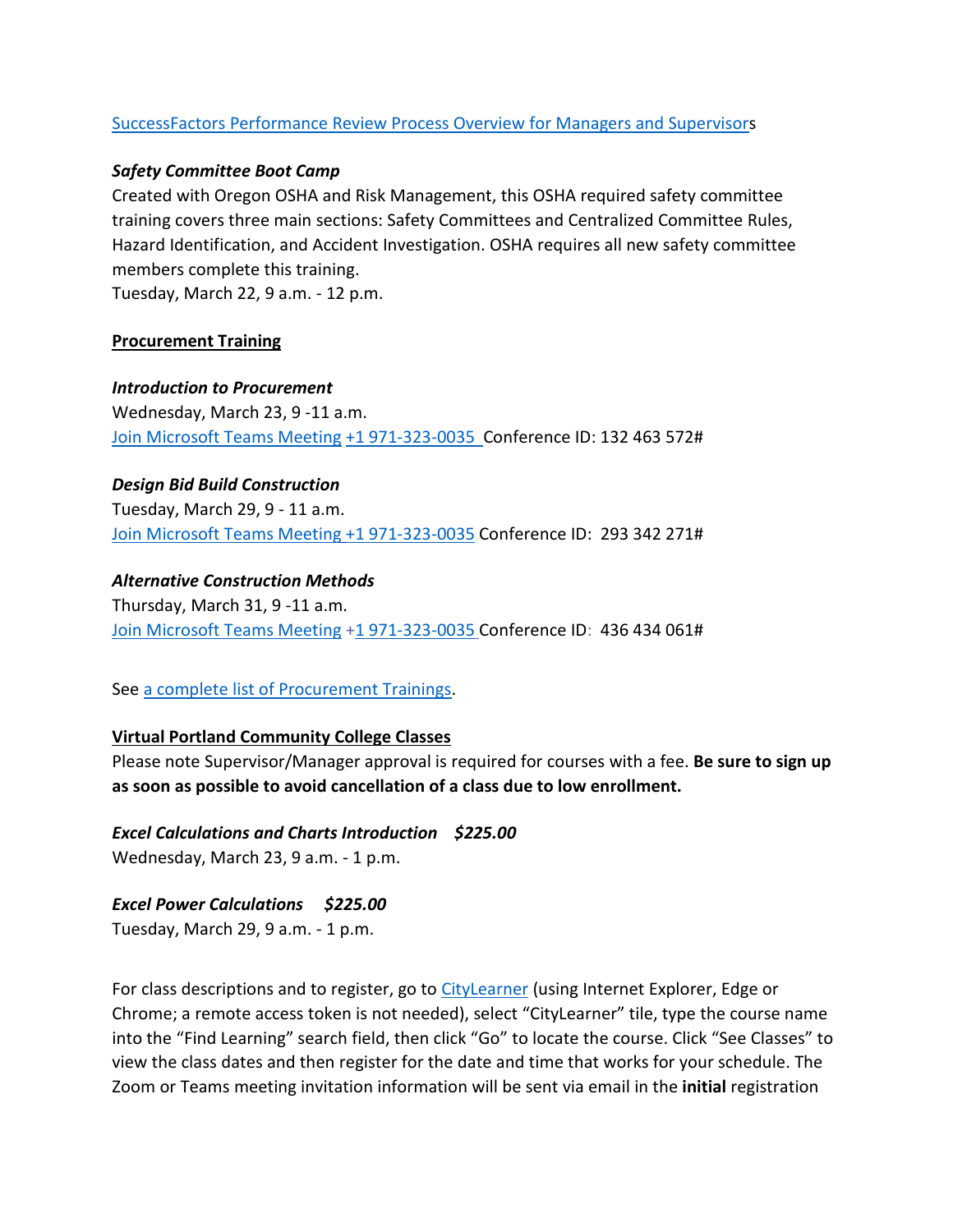#### [SuccessFactors Performance Review Process Overview for Managers and Supervisors](https://sts.portlandoregon.gov/adfs/ls/?SAMLRequest=hZJPb9swDMW%2FisC7bUVL61SIU2QLigXYH7fxethlUGU6FSBLnig367ev7aRbd0mv0iPf449cXv9pLXvCQMa7AmYpB4ZO%2B9q4fQE%2FqptkAderJanWik6u%2B%2Fjo7vB3jxTZUOhIHn8K6IOTXpEh6VSLJKOWu%2FXXL1KkXHbBR6%2B9BbYZCo1TcTJ7jLEjmWUUKe18iFa52gfce5fu%2FVOm6oYySxmwGx80Tt4FNMoSAttuCvg1V3n90OirZJZ%2FwGTeIE%2BuLgRPxEWuZwKV5vnlICXqcesoKhcLEFyIhItELKpZLvlc8stULPhPYOUp5UfjjtOfG%2BnhKCL5uarKpPy%2Bq4Ddv1IcBHBiJif38BbW%2BcaKCMPIB1avfA6HQ0q91kjUKB19oFT7NtMmPvtmBLfM3nr93da3ofl2U3pr9DNbW%2BsPnwKqiAXE0OOEtVXxfJzxxdRJM0llN05IEV0EtivH%2Fre9sqYxGP6t8924kK1Oif%2B%2FqNUL&RelayState=%2Fsf%2Flearning%3FdestUrl%3Dhttps%253a%252f%252fcityofport%252eplateau%252ecom%252flearning%252fuser%252fdeeplink%255fredirect%252ejsp%253flinkId%253dITEM%255fDETAILS%2526componentID%253d29040%2526componentTypeID%253dELRN%2526revisionDate%253d1621298220000%2526fromSF%253dY&SigAlg=http%3A%2F%2Fwww.w3.org%2F2000%2F09%2Fxmldsig%23rsa-sha1&Signature=Nh05m6BdIM%2FxvyYo0XGgvYRymZoYM8duNho3YqhMrhB7dt0AJszl8HP9tMyr1Rm970uBY8qN1OK2VQ1DitXtL9X5kz06hi1lh1qU%2BNQBVJv%2F2mbWdoqb58FMYKiqv97cu9yMld0iUdw6Mkp%2FB1rVy%2F6nxhm7IUmo9suGPepTh6k%3D)

#### *Safety Committee Boot Camp*

Created with Oregon OSHA and Risk Management, this OSHA required safety committee training covers three main sections: Safety Committees and Centralized Committee Rules, Hazard Identification, and Accident Investigation. OSHA requires all new safety committee members complete this training.

Tuesday, March 22, 9 a.m. - 12 p.m.

#### **Procurement Training**

#### *Introduction to Procurement*

Wednesday, March 23, 9 -11 a.m. [Join Microsoft Teams Meeting](https://teams.microsoft.com/l/meetup-join/19%3ameeting_OWI3OGJlZDAtYTlhYS00ZWQ0LTkwNWYtOTM5YmZlYzI1MmIx%40thread.v2/0?context=%7b%22Tid%22%3a%22636d7808-73c9-41a7-97aa-8c4733642141%22%2c%22Oid%22%3a%2286b2ae6e-2fe6-44ca-9974-4b60b2e2cd99%22%7d) [+1 971-323-0035 C](tel:+19713230035,,132463572)onference ID: 132 463 572#

#### *Design Bid Build Construction*

Tuesday, March 29, 9 - 11 a.m. [Join Microsoft Teams Meeting](https://teams.microsoft.com/l/meetup-join/19%3ameeting_NjIxOTQ5ZjAtMGMzYi00ODQ1LWIwMjQtNjU4Yjg4YzFkOTY5%40thread.v2/0?context=%7b%22Tid%22%3a%22636d7808-73c9-41a7-97aa-8c4733642141%22%2c%22Oid%22%3a%2286b2ae6e-2fe6-44ca-9974-4b60b2e2cd99%22%7d) [+1 971-323-0035](tel:+19713230035,,293342271) Conference ID: 293 342 271#

#### *Alternative Construction Methods*

Thursday, March 31, 9 -11 a.m. [Join Microsoft Teams Meeting](https://teams.microsoft.com/l/meetup-join/19%3ameeting_ZjhkNmE5Y2EtODgyZS00NGQ4LTkxZGEtMDY1ZTE4YzdlYmZh%40thread.v2/0?context=%7b%22Tid%22%3a%22636d7808-73c9-41a7-97aa-8c4733642141%22%2c%22Oid%22%3a%2286b2ae6e-2fe6-44ca-9974-4b60b2e2cd99%22%7d) [+1 971-323-0035](tel:+19713230035,,436434061) Conference ID: 436 434 061#

#### See [a complete list of Procurement Trainings.](https://www.portlandoregon.gov/brfs/article/780678)

#### **Virtual Portland Community College Classes**

Please note Supervisor/Manager approval is required for courses with a fee. **Be sure to sign up as soon as possible to avoid cancellation of a class due to low enrollment.**

*Excel Calculations and Charts Introduction \$225.00* Wednesday, March 23, 9 a.m. - 1 p.m.

*Excel Power Calculations \$225.00* Tuesday, March 29, 9 a.m. - 1 p.m.

For class descriptions and to register, go to [CityLearner](https://www.portlandoregon.gov/sf) (using Internet Explorer, Edge or Chrome; a remote access token is not needed), select "CityLearner" tile, type the course name into the "Find Learning" search field, then click "Go" to locate the course. Click "See Classes" to view the class dates and then register for the date and time that works for your schedule. The Zoom or Teams meeting invitation information will be sent via email in the **initial** registration